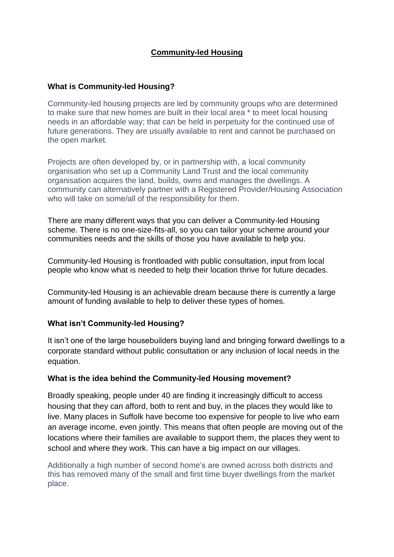# **Community-led Housing**

## **What is Community-led Housing?**

Community-led housing projects are led by community groups who are determined to make sure that new homes are built in their local area \* to meet local housing needs in an affordable way; that can be held in perpetuity for the continued use of future generations. They are usually available to rent and cannot be purchased on the open market.

Projects are often developed by, or in partnership with, a local community organisation who set up a Community Land Trust and the local community organisation acquires the land, builds, owns and manages the dwellings. A community can alternatively partner with a Registered Provider/Housing Association who will take on some/all of the responsibility for them.

There are many different ways that you can deliver a Community-led Housing scheme. There is no one-size-fits-all, so you can tailor your scheme around your communities needs and the skills of those you have available to help you.

Community-led Housing is frontloaded with public consultation, input from local people who know what is needed to help their location thrive for future decades.

Community-led Housing is an achievable dream because there is currently a large amount of funding available to help to deliver these types of homes.

## **What isn't Community-led Housing?**

It isn't one of the large housebuilders buying land and bringing forward dwellings to a corporate standard without public consultation or any inclusion of local needs in the equation.

## **What is the idea behind the Community-led Housing movement?**

Broadly speaking, people under 40 are finding it increasingly difficult to access housing that they can afford, both to rent and buy, in the places they would like to live. Many places in Suffolk have become too expensive for people to live who earn an average income, even jointly. This means that often people are moving out of the locations where their families are available to support them, the places they went to school and where they work. This can have a big impact on our villages.

Additionally a high number of second home's are owned across both districts and this has removed many of the small and first time buyer dwellings from the market place.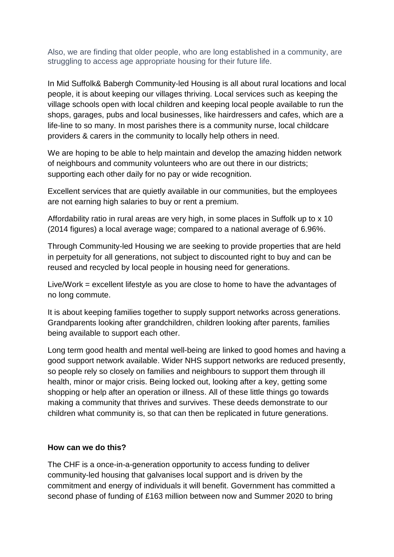Also, we are finding that older people, who are long established in a community, are struggling to access age appropriate housing for their future life.

In Mid Suffolk& Babergh Community-led Housing is all about rural locations and local people, it is about keeping our villages thriving. Local services such as keeping the village schools open with local children and keeping local people available to run the shops, garages, pubs and local businesses, like hairdressers and cafes, which are a life-line to so many. In most parishes there is a community nurse, local childcare providers & carers in the community to locally help others in need.

We are hoping to be able to help maintain and develop the amazing hidden network of neighbours and community volunteers who are out there in our districts; supporting each other daily for no pay or wide recognition.

Excellent services that are quietly available in our communities, but the employees are not earning high salaries to buy or rent a premium.

Affordability ratio in rural areas are very high, in some places in Suffolk up to x 10 (2014 figures) a local average wage; compared to a national average of 6.96%.

Through Community-led Housing we are seeking to provide properties that are held in perpetuity for all generations, not subject to discounted right to buy and can be reused and recycled by local people in housing need for generations.

Live/Work = excellent lifestyle as you are close to home to have the advantages of no long commute.

It is about keeping families together to supply support networks across generations. Grandparents looking after grandchildren, children looking after parents, families being available to support each other.

Long term good health and mental well-being are linked to good homes and having a good support network available. Wider NHS support networks are reduced presently, so people rely so closely on families and neighbours to support them through ill health, minor or major crisis. Being locked out, looking after a key, getting some shopping or help after an operation or illness. All of these little things go towards making a community that thrives and survives. These deeds demonstrate to our children what community is, so that can then be replicated in future generations.

## **How can we do this?**

The CHF is a once-in-a-generation opportunity to access funding to deliver community-led housing that galvanises local support and is driven by the commitment and energy of individuals it will benefit. Government has committed a second phase of funding of £163 million between now and Summer 2020 to bring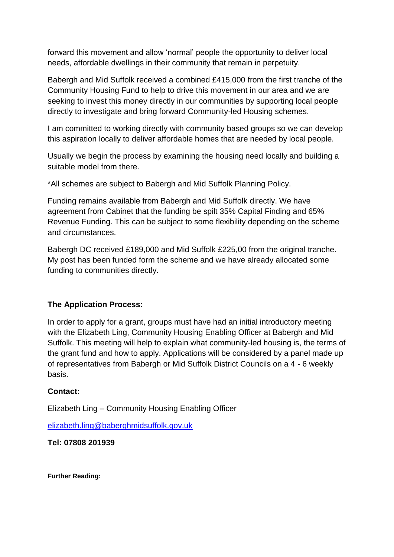forward this movement and allow 'normal' people the opportunity to deliver local needs, affordable dwellings in their community that remain in perpetuity.

Babergh and Mid Suffolk received a combined £415,000 from the first tranche of the Community Housing Fund to help to drive this movement in our area and we are seeking to invest this money directly in our communities by supporting local people directly to investigate and bring forward Community-led Housing schemes.

I am committed to working directly with community based groups so we can develop this aspiration locally to deliver affordable homes that are needed by local people.

Usually we begin the process by examining the housing need locally and building a suitable model from there.

\*All schemes are subject to Babergh and Mid Suffolk Planning Policy.

Funding remains available from Babergh and Mid Suffolk directly. We have agreement from Cabinet that the funding be spilt 35% Capital Finding and 65% Revenue Funding. This can be subject to some flexibility depending on the scheme and circumstances.

Babergh DC received £189,000 and Mid Suffolk £225,00 from the original tranche. My post has been funded form the scheme and we have already allocated some funding to communities directly.

## **The Application Process:**

In order to apply for a grant, groups must have had an initial introductory meeting with the Elizabeth Ling, Community Housing Enabling Officer at Babergh and Mid Suffolk. This meeting will help to explain what community-led housing is, the terms of the grant fund and how to apply. Applications will be considered by a panel made up of representatives from Babergh or Mid Suffolk District Councils on a 4 - 6 weekly basis.

## **Contact:**

Elizabeth Ling – Community Housing Enabling Officer

[elizabeth.ling@baberghmidsuffolk.gov.uk](mailto:elizabeth.ling@baberghmidsuffolk.gov.uk)

## **Tel: 07808 201939**

**Further Reading:**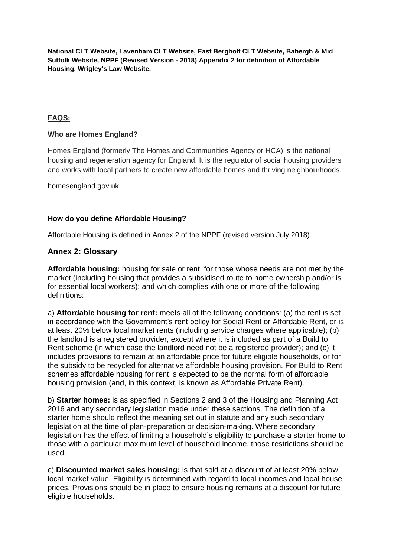**National CLT Website, Lavenham CLT Website, East Bergholt CLT Website, Babergh & Mid Suffolk Website, NPPF (Revised Version - 2018) Appendix 2 for definition of Affordable Housing, Wrigley's Law Website.** 

### **FAQS:**

### **Who are Homes England?**

Homes England (formerly The Homes and Communities Agency or HCA) is the national housing and regeneration agency for England. It is the regulator of social housing providers and works with local partners to create new affordable homes and thriving neighbourhoods.

homesengland.gov.uk

#### **How do you define Affordable Housing?**

Affordable Housing is defined in Annex 2 of the NPPF (revised version July 2018).

#### **Annex 2: Glossary**

**Affordable housing:** housing for sale or rent, for those whose needs are not met by the market (including housing that provides a subsidised route to home ownership and/or is for essential local workers); and which complies with one or more of the following definitions:

a) **Affordable housing for rent:** meets all of the following conditions: (a) the rent is set in accordance with the Government's rent policy for Social Rent or Affordable Rent, or is at least 20% below local market rents (including service charges where applicable); (b) the landlord is a registered provider, except where it is included as part of a Build to Rent scheme (in which case the landlord need not be a registered provider); and (c) it includes provisions to remain at an affordable price for future eligible households, or for the subsidy to be recycled for alternative affordable housing provision. For Build to Rent schemes affordable housing for rent is expected to be the normal form of affordable housing provision (and, in this context, is known as Affordable Private Rent).

b) **Starter homes:** is as specified in Sections 2 and 3 of the Housing and Planning Act 2016 and any secondary legislation made under these sections. The definition of a starter home should reflect the meaning set out in statute and any such secondary legislation at the time of plan-preparation or decision-making. Where secondary legislation has the effect of limiting a household's eligibility to purchase a starter home to those with a particular maximum level of household income, those restrictions should be used.

c) **Discounted market sales housing:** is that sold at a discount of at least 20% below local market value. Eligibility is determined with regard to local incomes and local house prices. Provisions should be in place to ensure housing remains at a discount for future eligible households.